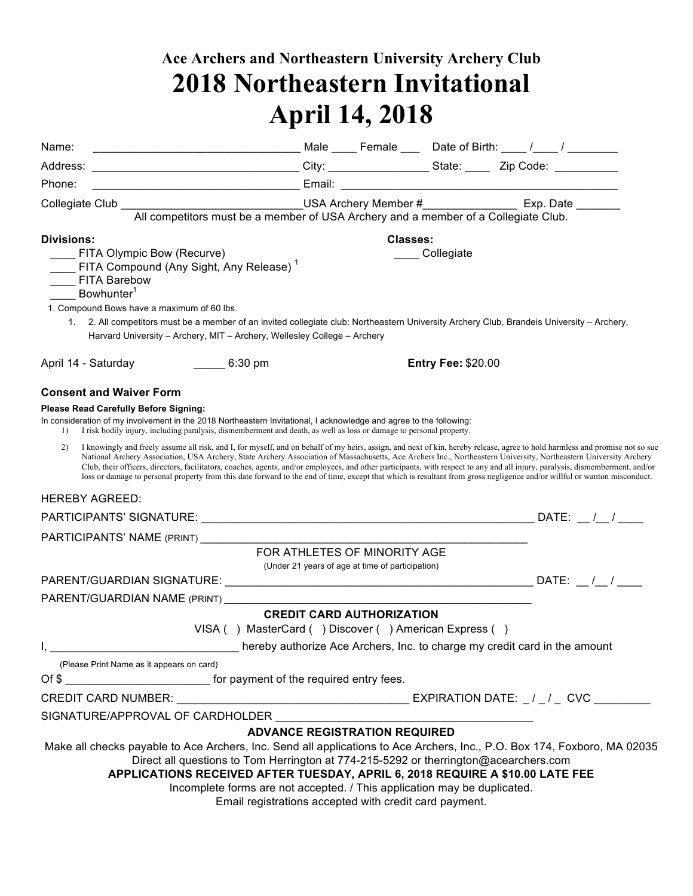## **Ace Archers and Northeastern University Archery Club 2018 Northeastern Invitational April 14, 2018**

| Name:             |                                                                                                                                                                                                                                                                                                                                                                                                                                                                                                                                                                                                                                                                                                                 |                                                                                                                                                                  |          |                           |  |  |
|-------------------|-----------------------------------------------------------------------------------------------------------------------------------------------------------------------------------------------------------------------------------------------------------------------------------------------------------------------------------------------------------------------------------------------------------------------------------------------------------------------------------------------------------------------------------------------------------------------------------------------------------------------------------------------------------------------------------------------------------------|------------------------------------------------------------------------------------------------------------------------------------------------------------------|----------|---------------------------|--|--|
|                   |                                                                                                                                                                                                                                                                                                                                                                                                                                                                                                                                                                                                                                                                                                                 |                                                                                                                                                                  |          |                           |  |  |
| Phone:            |                                                                                                                                                                                                                                                                                                                                                                                                                                                                                                                                                                                                                                                                                                                 |                                                                                                                                                                  |          |                           |  |  |
|                   | Collegiate Club __________________________________USA Archery Member #______________________________<br>All competitors must be a member of USA Archery and a member of a Collegiate Club.                                                                                                                                                                                                                                                                                                                                                                                                                                                                                                                      |                                                                                                                                                                  |          |                           |  |  |
|                   |                                                                                                                                                                                                                                                                                                                                                                                                                                                                                                                                                                                                                                                                                                                 |                                                                                                                                                                  |          |                           |  |  |
| <b>Divisions:</b> |                                                                                                                                                                                                                                                                                                                                                                                                                                                                                                                                                                                                                                                                                                                 |                                                                                                                                                                  | Classes: |                           |  |  |
|                   | <b>EITA Olympic Bow (Recurve)</b>                                                                                                                                                                                                                                                                                                                                                                                                                                                                                                                                                                                                                                                                               |                                                                                                                                                                  |          | _____ Collegiate          |  |  |
|                   | ____ FITA Compound (Any Sight, Any Release) <sup>1</sup><br>____ FITA Barebow                                                                                                                                                                                                                                                                                                                                                                                                                                                                                                                                                                                                                                   |                                                                                                                                                                  |          |                           |  |  |
|                   | Bowhunter <sup>1</sup>                                                                                                                                                                                                                                                                                                                                                                                                                                                                                                                                                                                                                                                                                          |                                                                                                                                                                  |          |                           |  |  |
|                   | 1. Compound Bows have a maximum of 60 lbs.                                                                                                                                                                                                                                                                                                                                                                                                                                                                                                                                                                                                                                                                      |                                                                                                                                                                  |          |                           |  |  |
| 1.                | 2. All competitors must be a member of an invited collegiate club: Northeastern University Archery Club, Brandeis University - Archery,<br>Harvard University - Archery, MIT - Archery, Wellesley College - Archery                                                                                                                                                                                                                                                                                                                                                                                                                                                                                             |                                                                                                                                                                  |          |                           |  |  |
|                   |                                                                                                                                                                                                                                                                                                                                                                                                                                                                                                                                                                                                                                                                                                                 |                                                                                                                                                                  |          | <b>Entry Fee: \$20.00</b> |  |  |
|                   | <b>Consent and Waiver Form</b>                                                                                                                                                                                                                                                                                                                                                                                                                                                                                                                                                                                                                                                                                  |                                                                                                                                                                  |          |                           |  |  |
|                   | <b>Please Read Carefully Before Signing:</b>                                                                                                                                                                                                                                                                                                                                                                                                                                                                                                                                                                                                                                                                    |                                                                                                                                                                  |          |                           |  |  |
| 1)                | In consideration of my involvement in the 2018 Northeastern Invitational, I acknowledge and agree to the following:<br>I risk bodily injury, including paralysis, dismemberment and death, as well as loss or damage to personal property.                                                                                                                                                                                                                                                                                                                                                                                                                                                                      |                                                                                                                                                                  |          |                           |  |  |
| 2)                | I knowingly and freely assume all risk, and I, for myself, and on behalf of my heirs, assign, and next of kin, hereby release, agree to hold harmless and promise not so sue<br>National Archery Association, USA Archery, State Archery Association of Massachusetts, Ace Archers Inc., Northeastern University, Northeastern University Archery<br>Club, their officers, directors, facilitators, coaches, agents, and/or employees, and other participants, with respect to any and all injury, paralysis, dismemberment, and/or<br>loss or damage to personal property from this date forward to the end of time, except that which is resultant from gross negligence and/or willful or wanton misconduct. |                                                                                                                                                                  |          |                           |  |  |
|                   | <b>HEREBY AGREED:</b>                                                                                                                                                                                                                                                                                                                                                                                                                                                                                                                                                                                                                                                                                           |                                                                                                                                                                  |          |                           |  |  |
|                   |                                                                                                                                                                                                                                                                                                                                                                                                                                                                                                                                                                                                                                                                                                                 |                                                                                                                                                                  |          |                           |  |  |
|                   | PARTICIPANTS' NAME (PRINT) ____________                                                                                                                                                                                                                                                                                                                                                                                                                                                                                                                                                                                                                                                                         |                                                                                                                                                                  |          |                           |  |  |
|                   |                                                                                                                                                                                                                                                                                                                                                                                                                                                                                                                                                                                                                                                                                                                 | FOR ATHLETES OF MINORITY AGE<br>(Under 21 years of age at time of participation)                                                                                 |          |                           |  |  |
|                   |                                                                                                                                                                                                                                                                                                                                                                                                                                                                                                                                                                                                                                                                                                                 |                                                                                                                                                                  |          |                           |  |  |
|                   | PARENT/GUARDIAN NAME (PRINT)                                                                                                                                                                                                                                                                                                                                                                                                                                                                                                                                                                                                                                                                                    |                                                                                                                                                                  |          |                           |  |  |
|                   |                                                                                                                                                                                                                                                                                                                                                                                                                                                                                                                                                                                                                                                                                                                 | <b>CREDIT CARD AUTHORIZATION</b>                                                                                                                                 |          |                           |  |  |
|                   |                                                                                                                                                                                                                                                                                                                                                                                                                                                                                                                                                                                                                                                                                                                 | VISA () MasterCard () Discover () American Express ()                                                                                                            |          |                           |  |  |
|                   |                                                                                                                                                                                                                                                                                                                                                                                                                                                                                                                                                                                                                                                                                                                 |                                                                                                                                                                  |          |                           |  |  |
|                   | (Please Print Name as it appears on card)                                                                                                                                                                                                                                                                                                                                                                                                                                                                                                                                                                                                                                                                       |                                                                                                                                                                  |          |                           |  |  |
|                   | Of \$                                                                                                                                                                                                                                                                                                                                                                                                                                                                                                                                                                                                                                                                                                           |                                                                                                                                                                  |          |                           |  |  |
|                   |                                                                                                                                                                                                                                                                                                                                                                                                                                                                                                                                                                                                                                                                                                                 |                                                                                                                                                                  |          |                           |  |  |
|                   | SIGNATURE/APPROVAL OF CARDHOLDER                                                                                                                                                                                                                                                                                                                                                                                                                                                                                                                                                                                                                                                                                |                                                                                                                                                                  |          |                           |  |  |
|                   |                                                                                                                                                                                                                                                                                                                                                                                                                                                                                                                                                                                                                                                                                                                 | <b>ADVANCE REGISTRATION REQUIRED</b>                                                                                                                             |          |                           |  |  |
|                   | Make all checks payable to Ace Archers, Inc. Send all applications to Ace Archers, Inc., P.O. Box 174, Foxboro, MA 02035<br>APPLICATIONS RECEIVED AFTER TUESDAY, APRIL 6, 2018 REQUIRE A \$10.00 LATE FEE                                                                                                                                                                                                                                                                                                                                                                                                                                                                                                       | Direct all questions to Tom Herrington at 774-215-5292 or therrington@acearchers.com<br>Incomplete forms are not accepted. / This application may be duplicated. |          |                           |  |  |
|                   |                                                                                                                                                                                                                                                                                                                                                                                                                                                                                                                                                                                                                                                                                                                 | Email registrations accepted with credit card payment.                                                                                                           |          |                           |  |  |